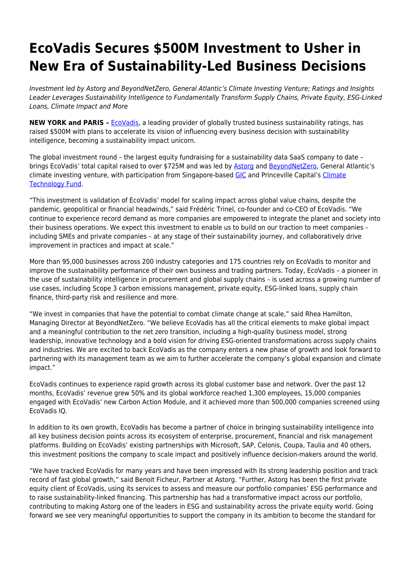# **EcoVadis Secures \$500M Investment to Usher in New Era of Sustainability-Led Business Decisions**

Investment led by Astorg and BeyondNetZero, General Atlantic's Climate Investing Venture; Ratings and Insights Leader Leverages Sustainability Intelligence to Fundamentally Transform Supply Chains, Private Equity, ESG-Linked Loans, Climate Impact and More

**NEW YORK and PARIS - <b>[EcoVadis](http://www.ecovadis.com)**, a leading provider of globally trusted business sustainability ratings, has raised \$500M with plans to accelerate its vision of influencing every business decision with sustainability intelligence, becoming a sustainability impact unicorn.

The global investment round – the largest equity fundraising for a sustainability data SaaS company to date – brings EcoVadis' total capital raised to over \$725M and was led by [Astorg](https://www.astorg.com/) and [BeyondNetZero,](https://beyond-net-zero.com/) General Atlantic's climate investing venture, with participation from Singapore-based [GIC](https://www.gic.com.sg/how-we-invest/investing-sustainably/) and Princeville Capital's [Climate](https://www.princeville-capital.com/princeville-climate) [Technology Fund.](https://www.princeville-capital.com/princeville-climate)

"This investment is validation of EcoVadis' model for scaling impact across global value chains, despite the pandemic, geopolitical or financial headwinds," said Frédéric Trinel, co-founder and co-CEO of EcoVadis. "We continue to experience record demand as more companies are empowered to integrate the planet and society into their business operations. We expect this investment to enable us to build on our traction to meet companies – including SMEs and private companies – at any stage of their sustainability journey, and collaboratively drive improvement in practices and impact at scale."

More than 95,000 businesses across 200 industry categories and 175 countries rely on EcoVadis to monitor and improve the sustainability performance of their own business and trading partners. Today, EcoVadis – a pioneer in the use of sustainability intelligence in procurement and global supply chains – is used across a growing number of use cases, including Scope 3 carbon emissions management, private equity, ESG-linked loans, supply chain finance, third-party risk and resilience and more.

"We invest in companies that have the potential to combat climate change at scale," said Rhea Hamilton, Managing Director at BeyondNetZero. "We believe EcoVadis has all the critical elements to make global impact and a meaningful contribution to the net zero transition, including a high-quality business model, strong leadership, innovative technology and a bold vision for driving ESG-oriented transformations across supply chains and industries. We are excited to back EcoVadis as the company enters a new phase of growth and look forward to partnering with its management team as we aim to further accelerate the company's global expansion and climate impact."

EcoVadis continues to experience rapid growth across its global customer base and network. Over the past 12 months, EcoVadis' revenue grew 50% and its global workforce reached 1,300 employees, 15,000 companies engaged with EcoVadis' new Carbon Action Module, and it achieved more than 500,000 companies screened using EcoVadis IQ.

In addition to its own growth, EcoVadis has become a partner of choice in bringing sustainability intelligence into all key business decision points across its ecosystem of enterprise, procurement, financial and risk management platforms. Building on EcoVadis' existing partnerships with Microsoft, SAP, Celonis, Coupa, Taulia and 40 others, this investment positions the company to scale impact and positively influence decision-makers around the world.

"We have tracked EcoVadis for many years and have been impressed with its strong leadership position and track record of fast global growth," said Benoit Ficheur, Partner at Astorg. "Further, Astorg has been the first private equity client of EcoVadis, using its services to assess and measure our portfolio companies' ESG performance and to raise sustainability-linked financing. This partnership has had a transformative impact across our portfolio, contributing to making Astorg one of the leaders in ESG and sustainability across the private equity world. Going forward we see very meaningful opportunities to support the company in its ambition to become the standard for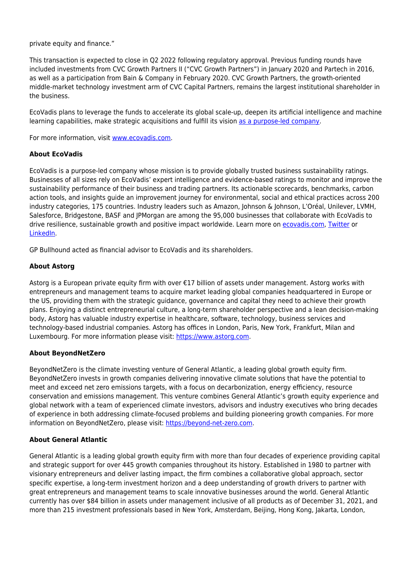private equity and finance."

This transaction is expected to close in Q2 2022 following regulatory approval. Previous funding rounds have included investments from CVC Growth Partners II ("CVC Growth Partners") in January 2020 and Partech in 2016, as well as a participation from Bain & Company in February 2020. CVC Growth Partners, the growth-oriented middle-market technology investment arm of CVC Capital Partners, remains the largest institutional shareholder in the business.

EcoVadis plans to leverage the funds to accelerate its global scale-up, deepen its artificial intelligence and machine learning capabilities, make strategic acquisitions and fulfill its vision [as a purpose-led company.](https://resources.ecovadis.com/blog/ecovadis-formalizes-its-commitment-as-a-purpose-led-company)

For more information, visit [www.ecovadis.com.](https://ecovadis.com/?utm_medium=earned-media&utm_source=press&utm_campaign=2022-funding%09%09%09%09%09%09%09%09%09%09%09%09%09%09%09%09%20747)

# **About EcoVadis**

EcoVadis is a purpose-led company whose mission is to provide globally trusted business sustainability ratings. Businesses of all sizes rely on EcoVadis' expert intelligence and evidence-based ratings to monitor and improve the sustainability performance of their business and trading partners. Its actionable scorecards, benchmarks, carbon action tools, and insights guide an improvement journey for environmental, social and ethical practices across 200 industry categories, 175 countries. Industry leaders such as Amazon, Johnson & Johnson, L'Oréal, Unilever, LVMH, Salesforce, Bridgestone, BASF and JPMorgan are among the 95,000 businesses that collaborate with EcoVadis to drive resilience, sustainable growth and positive impact worldwide. Learn more on [ecovadis.com,](https://ecovadis.com/?utm_medium=earned-media&utm_source=press&utm_campaign=2022-funding%09%09%09%09%09%09%09%09%09%09%09%09%09%09%09%09%20747) [Twitter](https://twitter.com/ecovadis) or [LinkedIn.](https://www.linkedin.com/company/ecovadis)

GP Bullhound acted as financial advisor to EcoVadis and its shareholders.

# **About Astorg**

Astorg is a European private equity firm with over €17 billion of assets under management. Astorg works with entrepreneurs and management teams to acquire market leading global companies headquartered in Europe or the US, providing them with the strategic guidance, governance and capital they need to achieve their growth plans. Enjoying a distinct entrepreneurial culture, a long-term shareholder perspective and a lean decision-making body, Astorg has valuable industry expertise in healthcare, software, technology, business services and technology-based industrial companies. Astorg has offices in London, Paris, New York, Frankfurt, Milan and Luxembourg. For more information please visit: [https://www.astorg.com.](https://www.astorg.com)

# **About BeyondNetZero**

BeyondNetZero is the climate investing venture of General Atlantic, a leading global growth equity firm. BeyondNetZero invests in growth companies delivering innovative climate solutions that have the potential to meet and exceed net zero emissions targets, with a focus on decarbonization, energy efficiency, resource conservation and emissions management. This venture combines General Atlantic's growth equity experience and global network with a team of experienced climate investors, advisors and industry executives who bring decades of experience in both addressing climate-focused problems and building pioneering growth companies. For more information on BeyondNetZero, please visit: [https://beyond-net-zero.com.](https://beyond-net-zero.com)

#### **About General Atlantic**

General Atlantic is a leading global growth equity firm with more than four decades of experience providing capital and strategic support for over 445 growth companies throughout its history. Established in 1980 to partner with visionary entrepreneurs and deliver lasting impact, the firm combines a collaborative global approach, sector specific expertise, a long-term investment horizon and a deep understanding of growth drivers to partner with great entrepreneurs and management teams to scale innovative businesses around the world. General Atlantic currently has over \$84 billion in assets under management inclusive of all products as of December 31, 2021, and more than 215 investment professionals based in New York, Amsterdam, Beijing, Hong Kong, Jakarta, London,